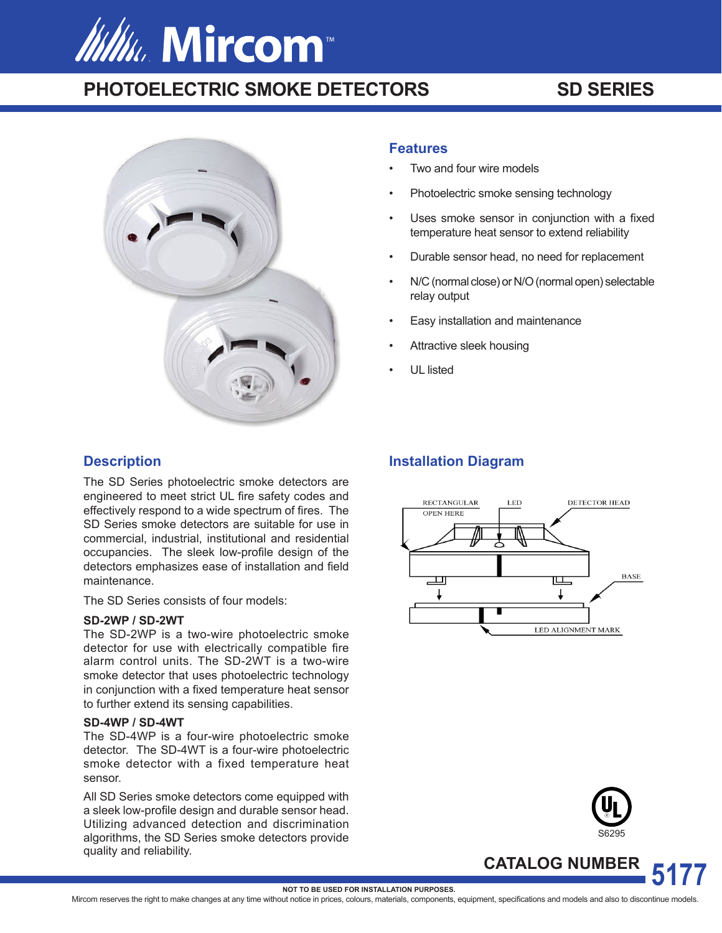# *Itility*, Mircom<sup>®</sup>

# **PHOTOELECTRIC SMOKE DETECTORS SD SERIES**



## **Description**

The SD Series photoelectric smoke detectors are engineered to meet strict UL fire safety codes and effectively respond to a wide spectrum of fires. The SD Series smoke detectors are suitable for use in commercial, industrial, institutional and residential occupancies. The sleek low-profile design of the detectors emphasizes ease of installation and field maintenance.

The SD Series consists of four models:

#### **SD-2WP / SD-2WT**

The SD-2WP is a two-wire photoelectric smoke detector for use with electrically compatible fire alarm control units. The SD-2WT is a two-wire smoke detector that uses photoelectric technology in conjunction with a fixed temperature heat sensor to further extend its sensing capabilities.

#### **SD-4WP / SD-4WT**

The SD-4WP is a four-wire photoelectric smoke detector. The SD-4WT is a four-wire photoelectric smoke detector with a fixed temperature heat sensor.

All SD Series smoke detectors come equipped with a sleek low-profile design and durable sensor head. Utilizing advanced detection and discrimination algorithms, the SD Series smoke detectors provide quality and reliability.

#### **Features**

- Two and four wire models
- Photoelectric smoke sensing technology
- Uses smoke sensor in conjunction with a fixed temperature heat sensor to extend reliability
- Durable sensor head, no need for replacement
- N/C (normal close) or N/O (normal open) selectable relay output
- Easy installation and maintenance
- Attractive sleek housing
- UL listed

### **Installation Diagram**





**CATALOG NUMBER**

**5177 NOT TO BE USED FOR INSTALLATION PURPOSES.**

Mircom reserves the right to make changes at any time without notice in prices, colours, materials, components, equipment, specifications and models and also to discontinue models.